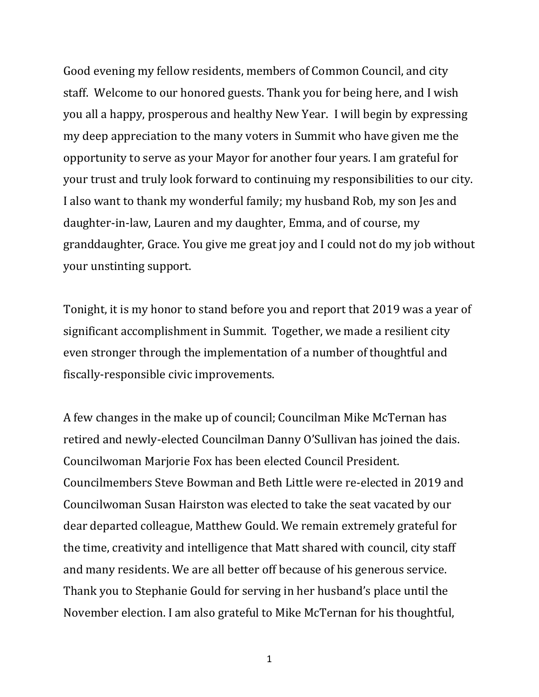Good evening my fellow residents, members of Common Council, and city staff. Welcome to our honored guests. Thank you for being here, and I wish you all a happy, prosperous and healthy New Year. I will begin by expressing my deep appreciation to the many voters in Summit who have given me the opportunity to serve as your Mayor for another four years. I am grateful for your trust and truly look forward to continuing my responsibilities to our city. I also want to thank my wonderful family; my husband Rob, my son Jes and daughter-in-law, Lauren and my daughter, Emma, and of course, my granddaughter, Grace. You give me great joy and I could not do my job without your unstinting support.

Tonight, it is my honor to stand before you and report that 2019 was a year of significant accomplishment in Summit. Together, we made a resilient city even stronger through the implementation of a number of thoughtful and fiscally-responsible civic improvements.

A few changes in the make up of council; Councilman Mike McTernan has retired and newly-elected Councilman Danny O'Sullivan has joined the dais. Councilwoman Marjorie Fox has been elected Council President. Councilmembers Steve Bowman and Beth Little were re-elected in 2019 and Councilwoman Susan Hairston was elected to take the seat vacated by our dear departed colleague, Matthew Gould. We remain extremely grateful for the time, creativity and intelligence that Matt shared with council, city staff and many residents. We are all better off because of his generous service. Thank you to Stephanie Gould for serving in her husband's place until the November election. I am also grateful to Mike McTernan for his thoughtful,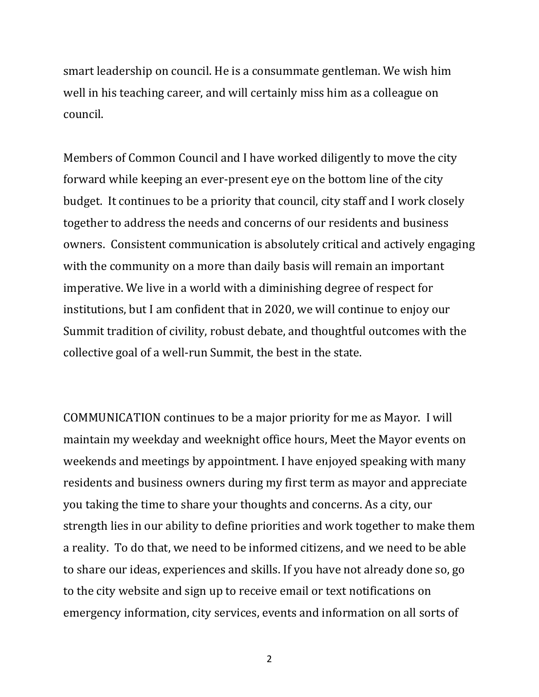smart leadership on council. He is a consummate gentleman. We wish him well in his teaching career, and will certainly miss him as a colleague on council.

Members of Common Council and I have worked diligently to move the city forward while keeping an ever-present eye on the bottom line of the city budget. It continues to be a priority that council, city staff and I work closely together to address the needs and concerns of our residents and business owners. Consistent communication is absolutely critical and actively engaging with the community on a more than daily basis will remain an important imperative. We live in a world with a diminishing degree of respect for institutions, but I am confident that in 2020, we will continue to enjoy our Summit tradition of civility, robust debate, and thoughtful outcomes with the collective goal of a well-run Summit, the best in the state.

COMMUNICATION continues to be a major priority for me as Mayor. I will maintain my weekday and weeknight office hours, Meet the Mayor events on weekends and meetings by appointment. I have enjoyed speaking with many residents and business owners during my first term as mayor and appreciate you taking the time to share your thoughts and concerns. As a city, our strength lies in our ability to define priorities and work together to make them a reality. To do that, we need to be informed citizens, and we need to be able to share our ideas, experiences and skills. If you have not already done so, go to the city website and sign up to receive email or text notifications on emergency information, city services, events and information on all sorts of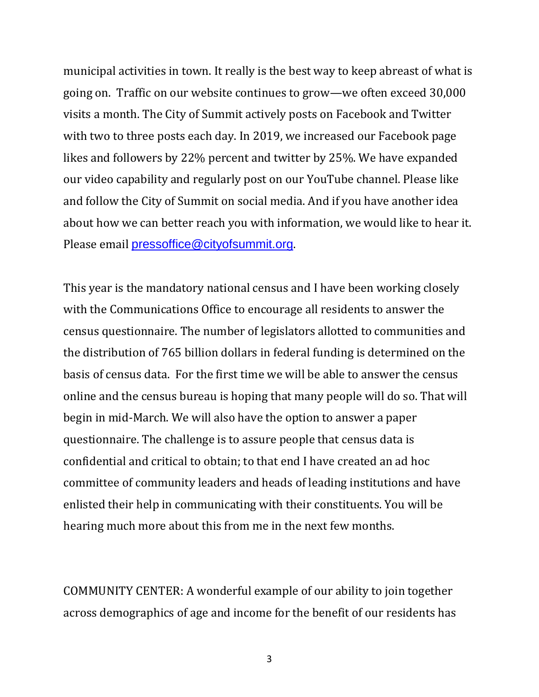municipal activities in town. It really is the best way to keep abreast of what is going on. Traffic on our website continues to grow—we often exceed 30,000 visits a month. The City of Summit actively posts on Facebook and Twitter with two to three posts each day. In 2019, we increased our Facebook page likes and followers by 22% percent and twitter by 25%. We have expanded our video capability and regularly post on our YouTube channel. Please like and follow the City of Summit on social media. And if you have another idea about how we can better reach you with information, we would like to hear it. Please email [pressoffice@cityofsummit.org](mailto:pressoffice@cityofsummit.org).

This year is the mandatory national census and I have been working closely with the Communications Office to encourage all residents to answer the census questionnaire. The number of legislators allotted to communities and the distribution of 765 billion dollars in federal funding is determined on the basis of census data. For the first time we will be able to answer the census online and the census bureau is hoping that many people will do so. That will begin in mid-March. We will also have the option to answer a paper questionnaire. The challenge is to assure people that census data is confidential and critical to obtain; to that end I have created an ad hoc committee of community leaders and heads of leading institutions and have enlisted their help in communicating with their constituents. You will be hearing much more about this from me in the next few months.

COMMUNITY CENTER: A wonderful example of our ability to join together across demographics of age and income for the benefit of our residents has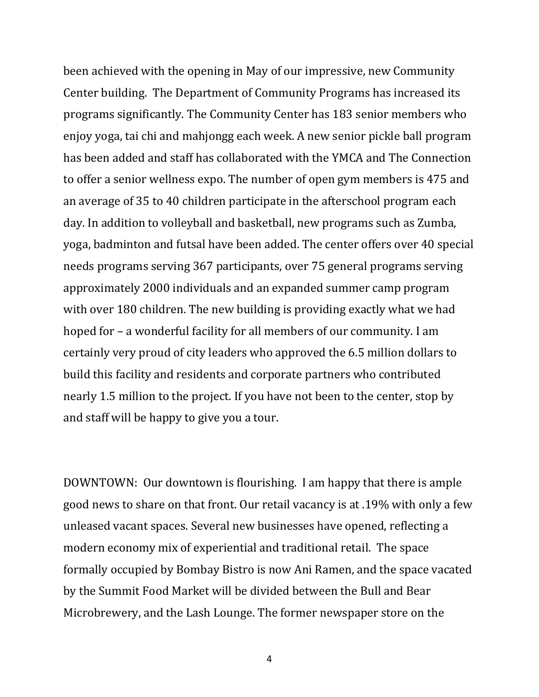been achieved with the opening in May of our impressive, new Community Center building. The Department of Community Programs has increased its programs significantly. The Community Center has 183 senior members who enjoy yoga, tai chi and mahjongg each week. A new senior pickle ball program has been added and staff has collaborated with the YMCA and The Connection to offer a senior wellness expo. The number of open gym members is 475 and an average of 35 to 40 children participate in the afterschool program each day. In addition to volleyball and basketball, new programs such as Zumba, yoga, badminton and futsal have been added. The center offers over 40 special needs programs serving 367 participants, over 75 general programs serving approximately 2000 individuals and an expanded summer camp program with over 180 children. The new building is providing exactly what we had hoped for – a wonderful facility for all members of our community. I am certainly very proud of city leaders who approved the 6.5 million dollars to build this facility and residents and corporate partners who contributed nearly 1.5 million to the project. If you have not been to the center, stop by and staff will be happy to give you a tour.

DOWNTOWN: Our downtown is flourishing. I am happy that there is ample good news to share on that front. Our retail vacancy is at .19% with only a few unleased vacant spaces. Several new businesses have opened, reflecting a modern economy mix of experiential and traditional retail. The space formally occupied by Bombay Bistro is now Ani Ramen, and the space vacated by the Summit Food Market will be divided between the Bull and Bear Microbrewery, and the Lash Lounge. The former newspaper store on the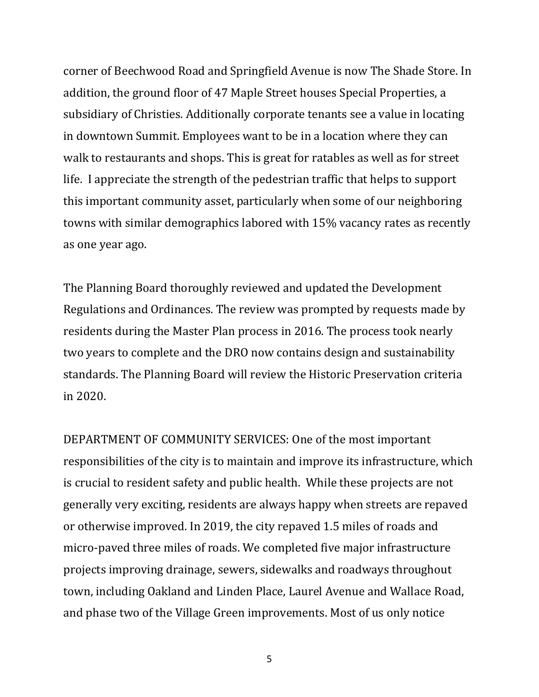corner of Beechwood Road and Springfield Avenue is now The Shade Store. In addition, the ground floor of 47 Maple Street houses Special Properties, a subsidiary of Christies. Additionally corporate tenants see a value in locating in downtown Summit. Employees want to be in a location where they can walk to restaurants and shops. This is great for ratables as well as for street life. I appreciate the strength of the pedestrian traffic that helps to support this important community asset, particularly when some of our neighboring towns with similar demographics labored with 15% vacancy rates as recently as one year ago.

The Planning Board thoroughly reviewed and updated the Development Regulations and Ordinances. The review was prompted by requests made by residents during the Master Plan process in 2016. The process took nearly two years to complete and the DRO now contains design and sustainability standards. The Planning Board will review the Historic Preservation criteria in 2020.

DEPARTMENT OF COMMUNITY SERVICES: One of the most important responsibilities of the city is to maintain and improve its infrastructure, which is crucial to resident safety and public health. While these projects are not generally very exciting, residents are always happy when streets are repaved or otherwise improved. In 2019, the city repaved 1.5 miles of roads and micro-paved three miles of roads. We completed five major infrastructure projects improving drainage, sewers, sidewalks and roadways throughout town, including Oakland and Linden Place, Laurel Avenue and Wallace Road, and phase two of the Village Green improvements. Most of us only notice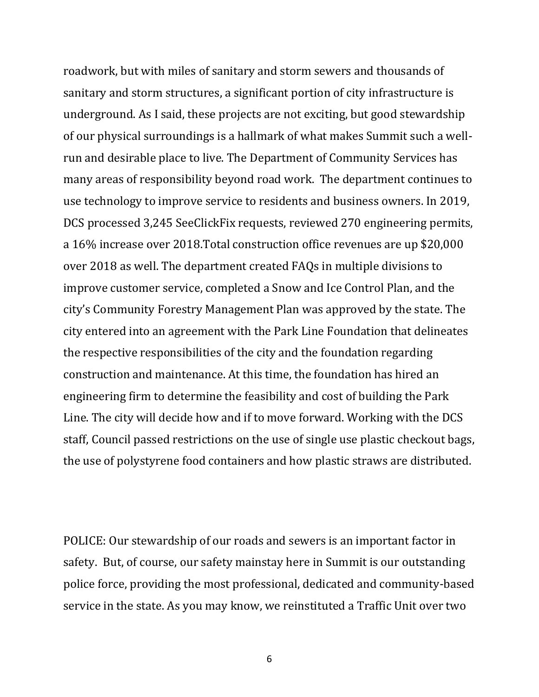roadwork, but with miles of sanitary and storm sewers and thousands of sanitary and storm structures, a significant portion of city infrastructure is underground. As I said, these projects are not exciting, but good stewardship of our physical surroundings is a hallmark of what makes Summit such a wellrun and desirable place to live. The Department of Community Services has many areas of responsibility beyond road work. The department continues to use technology to improve service to residents and business owners. In 2019, DCS processed 3,245 SeeClickFix requests, reviewed 270 engineering permits, a 16% increase over 2018.Total construction office revenues are up \$20,000 over 2018 as well. The department created FAQs in multiple divisions to improve customer service, completed a Snow and Ice Control Plan, and the city's Community Forestry Management Plan was approved by the state. The city entered into an agreement with the Park Line Foundation that delineates the respective responsibilities of the city and the foundation regarding construction and maintenance. At this time, the foundation has hired an engineering firm to determine the feasibility and cost of building the Park Line. The city will decide how and if to move forward. Working with the DCS staff, Council passed restrictions on the use of single use plastic checkout bags, the use of polystyrene food containers and how plastic straws are distributed.

POLICE: Our stewardship of our roads and sewers is an important factor in safety. But, of course, our safety mainstay here in Summit is our outstanding police force, providing the most professional, dedicated and community-based service in the state. As you may know, we reinstituted a Traffic Unit over two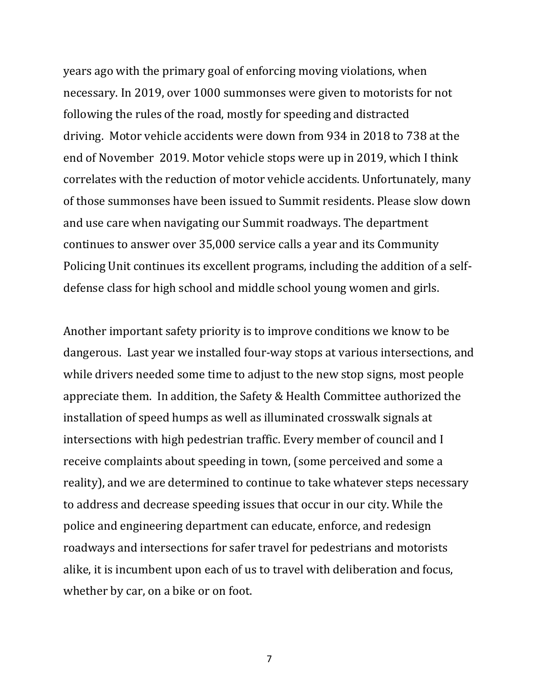years ago with the primary goal of enforcing moving violations, when necessary. In 2019, over 1000 summonses were given to motorists for not following the rules of the road, mostly for speeding and distracted driving. Motor vehicle accidents were down from 934 in 2018 to 738 at the end of November 2019. Motor vehicle stops were up in 2019, which I think correlates with the reduction of motor vehicle accidents. Unfortunately, many of those summonses have been issued to Summit residents. Please slow down and use care when navigating our Summit roadways. The department continues to answer over 35,000 service calls a year and its Community Policing Unit continues its excellent programs, including the addition of a selfdefense class for high school and middle school young women and girls.

Another important safety priority is to improve conditions we know to be dangerous. Last year we installed four-way stops at various intersections, and while drivers needed some time to adjust to the new stop signs, most people appreciate them. In addition, the Safety & Health Committee authorized the installation of speed humps as well as illuminated crosswalk signals at intersections with high pedestrian traffic. Every member of council and I receive complaints about speeding in town, (some perceived and some a reality), and we are determined to continue to take whatever steps necessary to address and decrease speeding issues that occur in our city. While the police and engineering department can educate, enforce, and redesign roadways and intersections for safer travel for pedestrians and motorists alike, it is incumbent upon each of us to travel with deliberation and focus, whether by car, on a bike or on foot.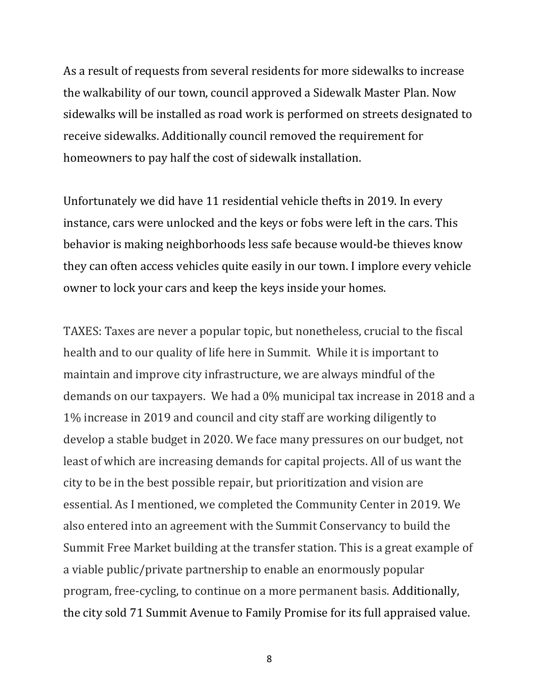As a result of requests from several residents for more sidewalks to increase the walkability of our town, council approved a Sidewalk Master Plan. Now sidewalks will be installed as road work is performed on streets designated to receive sidewalks. Additionally council removed the requirement for homeowners to pay half the cost of sidewalk installation.

Unfortunately we did have 11 residential vehicle thefts in 2019. In every instance, cars were unlocked and the keys or fobs were left in the cars. This behavior is making neighborhoods less safe because would-be thieves know they can often access vehicles quite easily in our town. I implore every vehicle owner to lock your cars and keep the keys inside your homes.

TAXES: Taxes are never a popular topic, but nonetheless, crucial to the fiscal health and to our quality of life here in Summit. While it is important to maintain and improve city infrastructure, we are always mindful of the demands on our taxpayers. We had a 0% municipal tax increase in 2018 and a 1% increase in 2019 and council and city staff are working diligently to develop a stable budget in 2020. We face many pressures on our budget, not least of which are increasing demands for capital projects. All of us want the city to be in the best possible repair, but prioritization and vision are essential. As I mentioned, we completed the Community Center in 2019. We also entered into an agreement with the Summit Conservancy to build the Summit Free Market building at the transfer station. This is a great example of a viable public/private partnership to enable an enormously popular program, free-cycling, to continue on a more permanent basis. Additionally, the city sold 71 Summit Avenue to Family Promise for its full appraised value.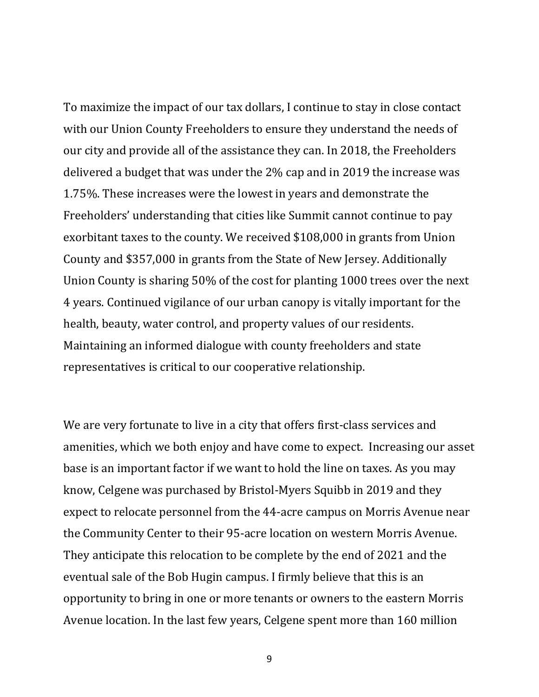To maximize the impact of our tax dollars, I continue to stay in close contact with our Union County Freeholders to ensure they understand the needs of our city and provide all of the assistance they can. In 2018, the Freeholders delivered a budget that was under the 2% cap and in 2019 the increase was 1.75%. These increases were the lowest in years and demonstrate the Freeholders' understanding that cities like Summit cannot continue to pay exorbitant taxes to the county. We received \$108,000 in grants from Union County and \$357,000 in grants from the State of New Jersey. Additionally Union County is sharing 50% of the cost for planting 1000 trees over the next 4 years. Continued vigilance of our urban canopy is vitally important for the health, beauty, water control, and property values of our residents. Maintaining an informed dialogue with county freeholders and state representatives is critical to our cooperative relationship.

We are very fortunate to live in a city that offers first-class services and amenities, which we both enjoy and have come to expect. Increasing our asset base is an important factor if we want to hold the line on taxes. As you may know, Celgene was purchased by Bristol-Myers Squibb in 2019 and they expect to relocate personnel from the 44-acre campus on Morris Avenue near the Community Center to their 95-acre location on western Morris Avenue. They anticipate this relocation to be complete by the end of 2021 and the eventual sale of the Bob Hugin campus. I firmly believe that this is an opportunity to bring in one or more tenants or owners to the eastern Morris Avenue location. In the last few years, Celgene spent more than 160 million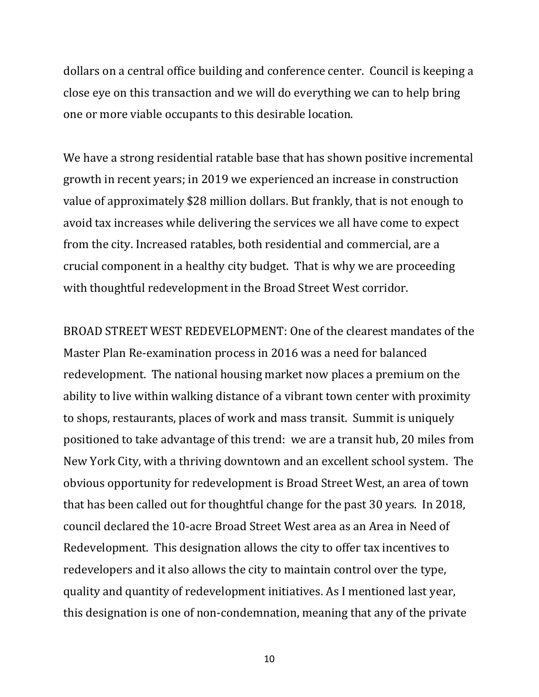dollars on a central office building and conference center. Council is keeping a close eye on this transaction and we will do everything we can to help bring one or more viable occupants to this desirable location.

We have a strong residential ratable base that has shown positive incremental growth in recent years; in 2019 we experienced an increase in construction value of approximately \$28 million dollars. But frankly, that is not enough to avoid tax increases while delivering the services we all have come to expect from the city. Increased ratables, both residential and commercial, are a crucial component in a healthy city budget. That is why we are proceeding with thoughtful redevelopment in the Broad Street West corridor.

BROAD STREET WEST REDEVELOPMENT: One of the clearest mandates of the Master Plan Re-examination process in 2016 was a need for balanced redevelopment. The national housing market now places a premium on the ability to live within walking distance of a vibrant town center with proximity to shops, restaurants, places of work and mass transit. Summit is uniquely positioned to take advantage of this trend: we are a transit hub, 20 miles from New York City, with a thriving downtown and an excellent school system. The obvious opportunity for redevelopment is Broad Street West, an area of town that has been called out for thoughtful change for the past 30 years. In 2018, council declared the 10-acre Broad Street West area as an Area in Need of Redevelopment. This designation allows the city to offer tax incentives to redevelopers and it also allows the city to maintain control over the type, quality and quantity of redevelopment initiatives. As I mentioned last year, this designation is one of non-condemnation, meaning that any of the private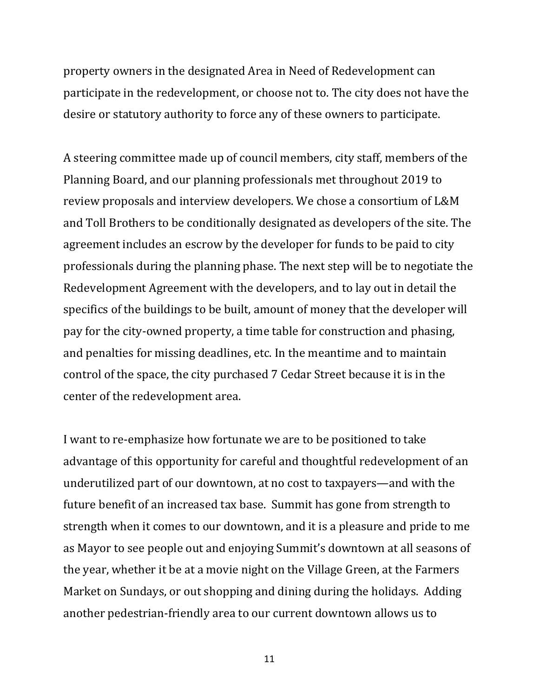property owners in the designated Area in Need of Redevelopment can participate in the redevelopment, or choose not to. The city does not have the desire or statutory authority to force any of these owners to participate.

A steering committee made up of council members, city staff, members of the Planning Board, and our planning professionals met throughout 2019 to review proposals and interview developers. We chose a consortium of L&M and Toll Brothers to be conditionally designated as developers of the site. The agreement includes an escrow by the developer for funds to be paid to city professionals during the planning phase. The next step will be to negotiate the Redevelopment Agreement with the developers, and to lay out in detail the specifics of the buildings to be built, amount of money that the developer will pay for the city-owned property, a time table for construction and phasing, and penalties for missing deadlines, etc. In the meantime and to maintain control of the space, the city purchased 7 Cedar Street because it is in the center of the redevelopment area.

I want to re-emphasize how fortunate we are to be positioned to take advantage of this opportunity for careful and thoughtful redevelopment of an underutilized part of our downtown, at no cost to taxpayers—and with the future benefit of an increased tax base. Summit has gone from strength to strength when it comes to our downtown, and it is a pleasure and pride to me as Mayor to see people out and enjoying Summit's downtown at all seasons of the year, whether it be at a movie night on the Village Green, at the Farmers Market on Sundays, or out shopping and dining during the holidays. Adding another pedestrian-friendly area to our current downtown allows us to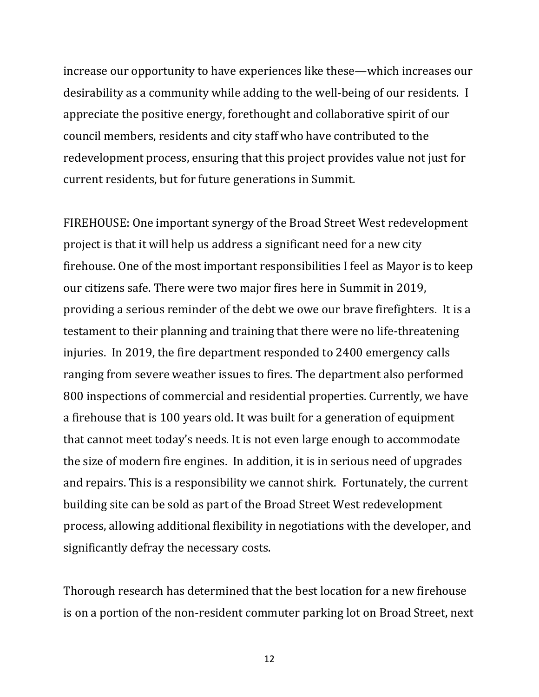increase our opportunity to have experiences like these—which increases our desirability as a community while adding to the well-being of our residents. I appreciate the positive energy, forethought and collaborative spirit of our council members, residents and city staff who have contributed to the redevelopment process, ensuring that this project provides value not just for current residents, but for future generations in Summit.

FIREHOUSE: One important synergy of the Broad Street West redevelopment project is that it will help us address a significant need for a new city firehouse. One of the most important responsibilities I feel as Mayor is to keep our citizens safe. There were two major fires here in Summit in 2019, providing a serious reminder of the debt we owe our brave firefighters. It is a testament to their planning and training that there were no life-threatening injuries. In 2019, the fire department responded to 2400 emergency calls ranging from severe weather issues to fires. The department also performed 800 inspections of commercial and residential properties. Currently, we have a firehouse that is 100 years old. It was built for a generation of equipment that cannot meet today's needs. It is not even large enough to accommodate the size of modern fire engines. In addition, it is in serious need of upgrades and repairs. This is a responsibility we cannot shirk. Fortunately, the current building site can be sold as part of the Broad Street West redevelopment process, allowing additional flexibility in negotiations with the developer, and significantly defray the necessary costs.

Thorough research has determined that the best location for a new firehouse is on a portion of the non-resident commuter parking lot on Broad Street, next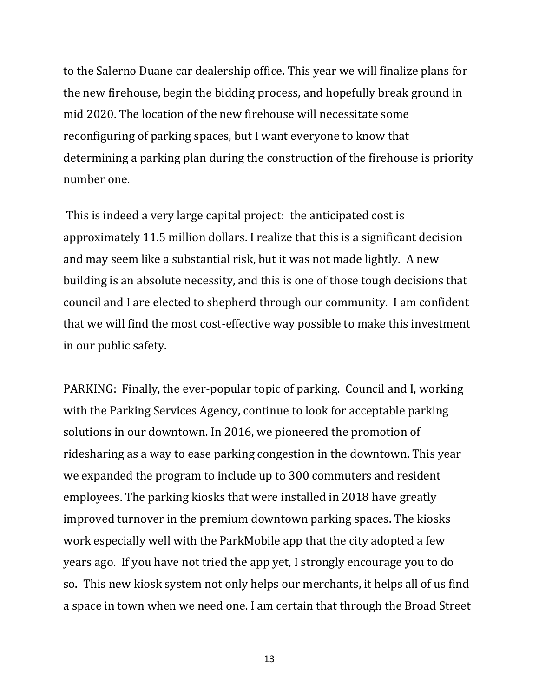to the Salerno Duane car dealership office. This year we will finalize plans for the new firehouse, begin the bidding process, and hopefully break ground in mid 2020. The location of the new firehouse will necessitate some reconfiguring of parking spaces, but I want everyone to know that determining a parking plan during the construction of the firehouse is priority number one.

This is indeed a very large capital project: the anticipated cost is approximately 11.5 million dollars. I realize that this is a significant decision and may seem like a substantial risk, but it was not made lightly. A new building is an absolute necessity, and this is one of those tough decisions that council and I are elected to shepherd through our community. I am confident that we will find the most cost-effective way possible to make this investment in our public safety.

PARKING: Finally, the ever-popular topic of parking. Council and I, working with the Parking Services Agency, continue to look for acceptable parking solutions in our downtown. In 2016, we pioneered the promotion of ridesharing as a way to ease parking congestion in the downtown. This year we expanded the program to include up to 300 commuters and resident employees. The parking kiosks that were installed in 2018 have greatly improved turnover in the premium downtown parking spaces. The kiosks work especially well with the ParkMobile app that the city adopted a few years ago. If you have not tried the app yet, I strongly encourage you to do so. This new kiosk system not only helps our merchants, it helps all of us find a space in town when we need one. I am certain that through the Broad Street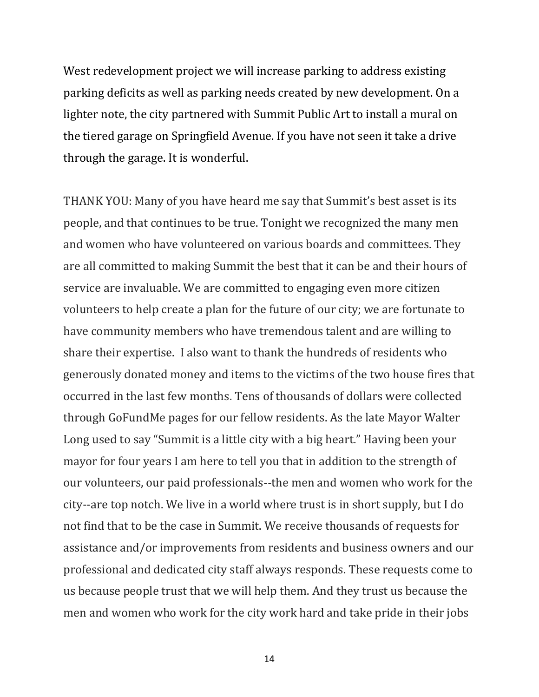West redevelopment project we will increase parking to address existing parking deficits as well as parking needs created by new development. On a lighter note, the city partnered with Summit Public Art to install a mural on the tiered garage on Springfield Avenue. If you have not seen it take a drive through the garage. It is wonderful.

THANK YOU: Many of you have heard me say that Summit's best asset is its people, and that continues to be true. Tonight we recognized the many men and women who have volunteered on various boards and committees. They are all committed to making Summit the best that it can be and their hours of service are invaluable. We are committed to engaging even more citizen volunteers to help create a plan for the future of our city; we are fortunate to have community members who have tremendous talent and are willing to share their expertise. I also want to thank the hundreds of residents who generously donated money and items to the victims of the two house fires that occurred in the last few months. Tens of thousands of dollars were collected through GoFundMe pages for our fellow residents. As the late Mayor Walter Long used to say "Summit is a little city with a big heart." Having been your mayor for four years I am here to tell you that in addition to the strength of our volunteers, our paid professionals--the men and women who work for the city--are top notch. We live in a world where trust is in short supply, but I do not find that to be the case in Summit. We receive thousands of requests for assistance and/or improvements from residents and business owners and our professional and dedicated city staff always responds. These requests come to us because people trust that we will help them. And they trust us because the men and women who work for the city work hard and take pride in their jobs